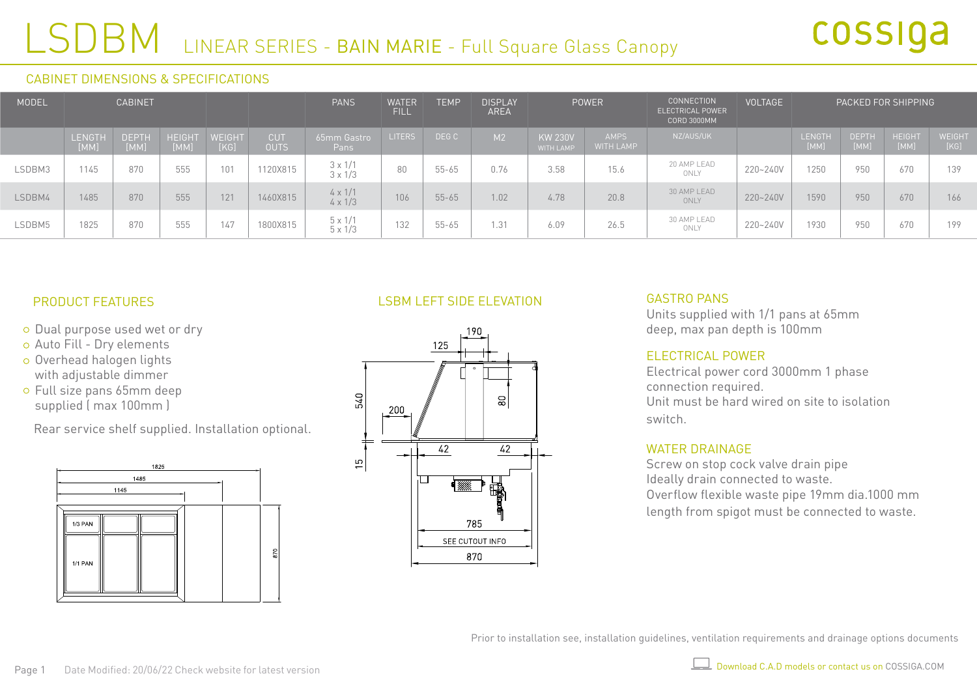## LSDBM LINEAR SERIES - BAIN MARIE - Full Square Glass Canopy

#### CABINET DIMENSIONS & SPECIFICATIONS

| MODEL  | <b>CABINET</b>        |                      |                       |                |                           | <b>PANS</b>                      | <b>WATER</b><br>FILL | <b>TEMP</b> | <b>DISPLAY</b><br><b>AREA</b> | <b>POWER</b>                       |                                 | <b>CONNECTION</b><br>ELECTRICAL POWER<br>CORD 3000MM | <b>VOLTAGE</b> | PACKED FOR SHIPPING |                      |                       |                       |
|--------|-----------------------|----------------------|-----------------------|----------------|---------------------------|----------------------------------|----------------------|-------------|-------------------------------|------------------------------------|---------------------------------|------------------------------------------------------|----------------|---------------------|----------------------|-----------------------|-----------------------|
|        | <b>LENGTH</b><br>[MM] | <b>DEPTH</b><br>[MM] | <b>HEIGHT</b><br>[MM] | WEIGHT<br>[KG] | <b>CUT</b><br><b>OUTS</b> | 65mm Gastro<br>Pans              | <b>ITERS</b>         | DEG C       | M2                            | <b>KW 230V</b><br><b>WITH LAMP</b> | <b>AMPS</b><br><b>WITH LAMP</b> | NZ/AUS/UK                                            |                | LENGTH<br>[MM]      | <b>DEPTH</b><br>[MM] | <b>HEIGHT</b><br>[MM] | <b>WEIGHT</b><br>[KG] |
| LSDBM3 | 1145                  | 870                  | 555                   | 101            | 1120X815                  | $3 \times 1/1$<br>$3 \times 1/3$ | 80                   | $55 - 65$   | 0.76                          | 3.58                               | 15.6                            | 20 AMP LEAD<br>ONLY                                  | 220~240V       | 1250                | 950                  | 670                   | 139                   |
| LSDBM4 | 1485                  | 870                  | 555                   | 121            | 1460X815                  | $4 \times 1/1$<br>$4 \times 1/3$ | 106                  | $55 - 65$   | 1.02                          | 4.78                               | 20.8                            | 30 AMP LEAD<br>ONLY                                  | 220~240V       | 1590                | 950                  | 670                   | 166                   |
| LSDBM5 | 1825                  | 870                  | 555                   | 147            | 1800X815                  | $5 \times 1/1$<br>$5 \times 1/3$ | 132                  | $55 - 65$   | 1.31                          | 6.09                               | 26.5                            | 30 AMP LEAD<br>ONLY                                  | 220~240V       | 1930                | 950                  | 670                   | 199                   |

## PRODUCT FEATURES

- o Dual purpose used wet or dry
- Auto Fill Dry elements
- o Overhead halogen lights with adjustable dimmer
- Full size pans 65mm deep supplied ( max 100mm )

Rear service shelf supplied. Installation optional.



## LSBM LEFT SIDE ELEVATION



#### GASTRO PANS

Units supplied with 1/1 pans at 65mm deep, max pan depth is 100mm

#### ELECTRICAL POWER

Electrical power cord 3000mm 1 phase connection required. Unit must be hard wired on site to isolation switch.

## WATER DRAINAGE

Screw on stop cock valve drain pipe Ideally drain connected to waste. Overflow flexible waste pipe 19mm dia.1000 mm length from spigot must be connected to waste.

Prior to installation see, installation guidelines, ventilation requirements and drainage options documents